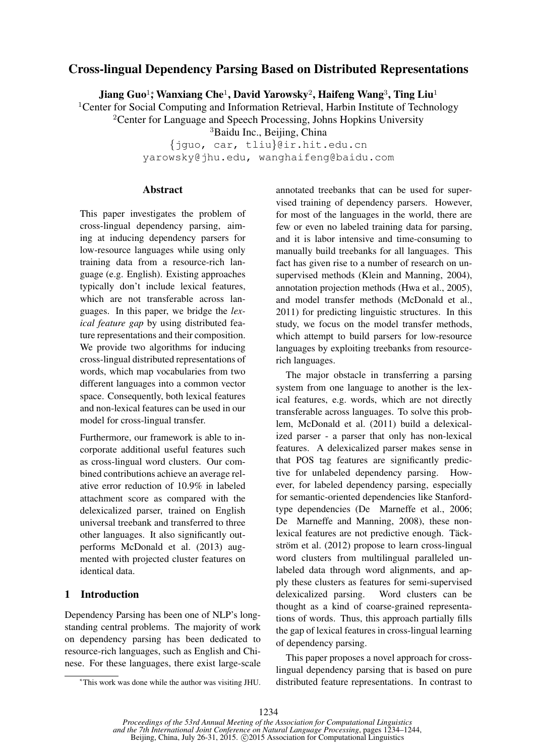# Cross-lingual Dependency Parsing Based on Distributed Representations

Jiang Guo1; Wanxiang Che<sup>1</sup>, David Yarowsky<sup>2</sup>, Haifeng Wang<sup>3</sup>, Ting Liu<sup>1</sup>

<sup>1</sup>Center for Social Computing and Information Retrieval, Harbin Institute of Technology

<sup>2</sup>Center for Language and Speech Processing, Johns Hopkins University

<sup>3</sup>Baidu Inc., Beijing, China

{jguo, car, tliu}@ir.hit.edu.cn yarowsky@jhu.edu, wanghaifeng@baidu.com

### Abstract

This paper investigates the problem of cross-lingual dependency parsing, aiming at inducing dependency parsers for low-resource languages while using only training data from a resource-rich language (e.g. English). Existing approaches typically don't include lexical features, which are not transferable across languages. In this paper, we bridge the *lexical feature gap* by using distributed feature representations and their composition. We provide two algorithms for inducing cross-lingual distributed representations of words, which map vocabularies from two different languages into a common vector space. Consequently, both lexical features and non-lexical features can be used in our model for cross-lingual transfer.

Furthermore, our framework is able to incorporate additional useful features such as cross-lingual word clusters. Our combined contributions achieve an average relative error reduction of 10.9% in labeled attachment score as compared with the delexicalized parser, trained on English universal treebank and transferred to three other languages. It also significantly outperforms McDonald et al. (2013) augmented with projected cluster features on identical data.

# 1 Introduction

Dependency Parsing has been one of NLP's longstanding central problems. The majority of work on dependency parsing has been dedicated to resource-rich languages, such as English and Chinese. For these languages, there exist large-scale annotated treebanks that can be used for supervised training of dependency parsers. However, for most of the languages in the world, there are few or even no labeled training data for parsing, and it is labor intensive and time-consuming to manually build treebanks for all languages. This fact has given rise to a number of research on unsupervised methods (Klein and Manning, 2004), annotation projection methods (Hwa et al., 2005), and model transfer methods (McDonald et al., 2011) for predicting linguistic structures. In this study, we focus on the model transfer methods, which attempt to build parsers for low-resource languages by exploiting treebanks from resourcerich languages.

The major obstacle in transferring a parsing system from one language to another is the lexical features, e.g. words, which are not directly transferable across languages. To solve this problem, McDonald et al. (2011) build a delexicalized parser - a parser that only has non-lexical features. A delexicalized parser makes sense in that POS tag features are significantly predictive for unlabeled dependency parsing. However, for labeled dependency parsing, especially for semantic-oriented dependencies like Stanfordtype dependencies (De Marneffe et al., 2006; De Marneffe and Manning, 2008), these nonlexical features are not predictive enough. Täckström et al.  $(2012)$  propose to learn cross-lingual word clusters from multilingual paralleled unlabeled data through word alignments, and apply these clusters as features for semi-supervised delexicalized parsing. Word clusters can be thought as a kind of coarse-grained representations of words. Thus, this approach partially fills the gap of lexical features in cross-lingual learning of dependency parsing.

This paper proposes a novel approach for crosslingual dependency parsing that is based on pure distributed feature representations. In contrast to

<sup>∗</sup>This work was done while the author was visiting JHU.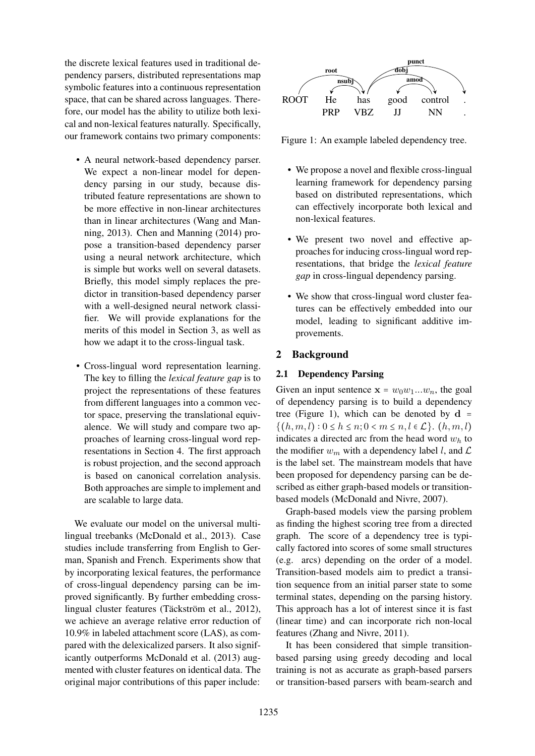the discrete lexical features used in traditional dependency parsers, distributed representations map symbolic features into a continuous representation space, that can be shared across languages. Therefore, our model has the ability to utilize both lexical and non-lexical features naturally. Specifically, our framework contains two primary components:

- A neural network-based dependency parser. We expect a non-linear model for dependency parsing in our study, because distributed feature representations are shown to be more effective in non-linear architectures than in linear architectures (Wang and Manning, 2013). Chen and Manning (2014) propose a transition-based dependency parser using a neural network architecture, which is simple but works well on several datasets. Briefly, this model simply replaces the predictor in transition-based dependency parser with a well-designed neural network classifier. We will provide explanations for the merits of this model in Section 3, as well as how we adapt it to the cross-lingual task.
- Cross-lingual word representation learning. The key to filling the *lexical feature gap* is to project the representations of these features from different languages into a common vector space, preserving the translational equivalence. We will study and compare two approaches of learning cross-lingual word representations in Section 4. The first approach is robust projection, and the second approach is based on canonical correlation analysis. Both approaches are simple to implement and are scalable to large data.

We evaluate our model on the universal multilingual treebanks (McDonald et al., 2013). Case studies include transferring from English to German, Spanish and French. Experiments show that by incorporating lexical features, the performance of cross-lingual dependency parsing can be improved significantly. By further embedding crosslingual cluster features (Täckström et al., 2012), we achieve an average relative error reduction of 10.9% in labeled attachment score (LAS), as compared with the delexicalized parsers. It also significantly outperforms McDonald et al. (2013) augmented with cluster features on identical data. The original major contributions of this paper include:



Figure 1: An example labeled dependency tree.

- We propose a novel and flexible cross-lingual learning framework for dependency parsing based on distributed representations, which can effectively incorporate both lexical and non-lexical features.
- We present two novel and effective approaches for inducing cross-lingual word representations, that bridge the *lexical feature gap* in cross-lingual dependency parsing.
- We show that cross-lingual word cluster features can be effectively embedded into our model, leading to significant additive improvements.

# 2 Background

### 2.1 Dependency Parsing

Given an input sentence  $x = w_0w_1...w_n$ , the goal of dependency parsing is to build a dependency tree (Figure 1), which can be denoted by  $d =$  $\{(h, m, l) : 0 \le h \le n; 0 < m \le n, l \in \mathcal{L}\}\)$ .  $(h, m, l)$ indicates a directed arc from the head word  $w<sub>h</sub>$  to the modifier  $w_m$  with a dependency label l, and  $\mathcal L$ is the label set. The mainstream models that have been proposed for dependency parsing can be described as either graph-based models or transitionbased models (McDonald and Nivre, 2007).

Graph-based models view the parsing problem as finding the highest scoring tree from a directed graph. The score of a dependency tree is typically factored into scores of some small structures (e.g. arcs) depending on the order of a model. Transition-based models aim to predict a transition sequence from an initial parser state to some terminal states, depending on the parsing history. This approach has a lot of interest since it is fast (linear time) and can incorporate rich non-local features (Zhang and Nivre, 2011).

It has been considered that simple transitionbased parsing using greedy decoding and local training is not as accurate as graph-based parsers or transition-based parsers with beam-search and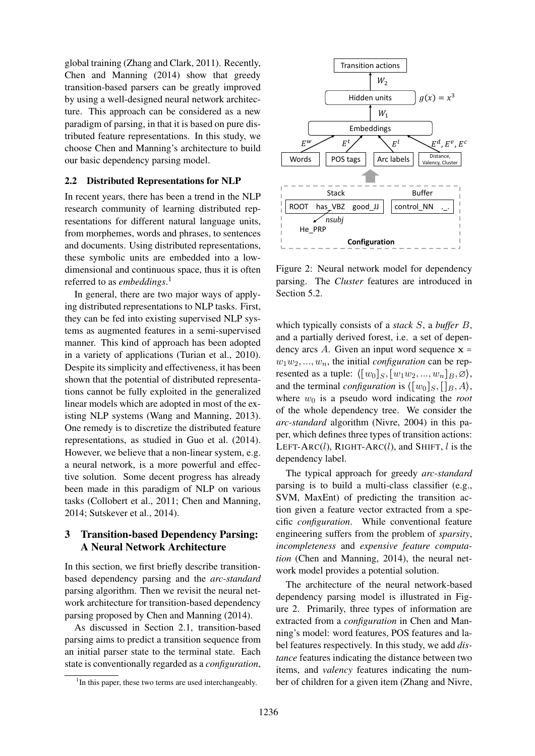global training (Zhang and Clark, 2011). Recently, Chen and Manning (2014) show that greedy transition-based parsers can be greatly improved by using a well-designed neural network architecture. This approach can be considered as a new paradigm of parsing, in that it is based on pure distributed feature representations. In this study, we choose Chen and Manning's architecture to build our basic dependency parsing model.

### 2.2 Distributed Representations for NLP

In recent years, there has been a trend in the NLP research community of learning distributed representations for different natural language units, from morphemes, words and phrases, to sentences and documents. Using distributed representations, these symbolic units are embedded into a lowdimensional and continuous space, thus it is often referred to as *embeddings*. 1

In general, there are two major ways of applying distributed representations to NLP tasks. First, they can be fed into existing supervised NLP systems as augmented features in a semi-supervised manner. This kind of approach has been adopted in a variety of applications (Turian et al., 2010). Despite its simplicity and effectiveness, it has been shown that the potential of distributed representations cannot be fully exploited in the generalized linear models which are adopted in most of the existing NLP systems (Wang and Manning, 2013). One remedy is to discretize the distributed feature representations, as studied in Guo et al. (2014). However, we believe that a non-linear system, e.g. a neural network, is a more powerful and effective solution. Some decent progress has already been made in this paradigm of NLP on various tasks (Collobert et al., 2011; Chen and Manning, 2014; Sutskever et al., 2014).

# 3 Transition-based Dependency Parsing: A Neural Network Architecture

In this section, we first briefly describe transitionbased dependency parsing and the *arc-standard* parsing algorithm. Then we revisit the neural network architecture for transition-based dependency parsing proposed by Chen and Manning (2014).

As discussed in Section 2.1, transition-based parsing aims to predict a transition sequence from an initial parser state to the terminal state. Each state is conventionally regarded as a *configuration*,



Figure 2: Neural network model for dependency parsing. The *Cluster* features are introduced in Section 5.2.

which typically consists of a *stack* S, a *buffer* B, and a partially derived forest, i.e. a set of dependency arcs A. Given an input word sequence  $x =$  $w_1w_2, ..., w_n$ , the initial *configuration* can be represented as a tuple:  $\langle [w_0]_S, [w_1w_2, ..., w_n]_B, \emptyset \rangle$ , and the terminal *configuration* is  $\langle [w_0]_S, [g_, A \rangle,$ where  $w_0$  is a pseudo word indicating the *root* of the whole dependency tree. We consider the *arc-standard* algorithm (Nivre, 2004) in this paper, which defines three types of transition actions: LEFT-ARC(l), RIGHT-ARC(l), and SHIFT, l is the dependency label.

The typical approach for greedy *arc-standard* parsing is to build a multi-class classifier (e.g., SVM, MaxEnt) of predicting the transition action given a feature vector extracted from a specific *configuration*. While conventional feature engineering suffers from the problem of *sparsity*, *incompleteness* and *expensive feature computation* (Chen and Manning, 2014), the neural network model provides a potential solution.

The architecture of the neural network-based dependency parsing model is illustrated in Figure 2. Primarily, three types of information are extracted from a *configuration* in Chen and Manning's model: word features, POS features and label features respectively. In this study, we add *distance* features indicating the distance between two items, and *valency* features indicating the number of children for a given item (Zhang and Nivre,

<sup>&</sup>lt;sup>1</sup>In this paper, these two terms are used interchangeably.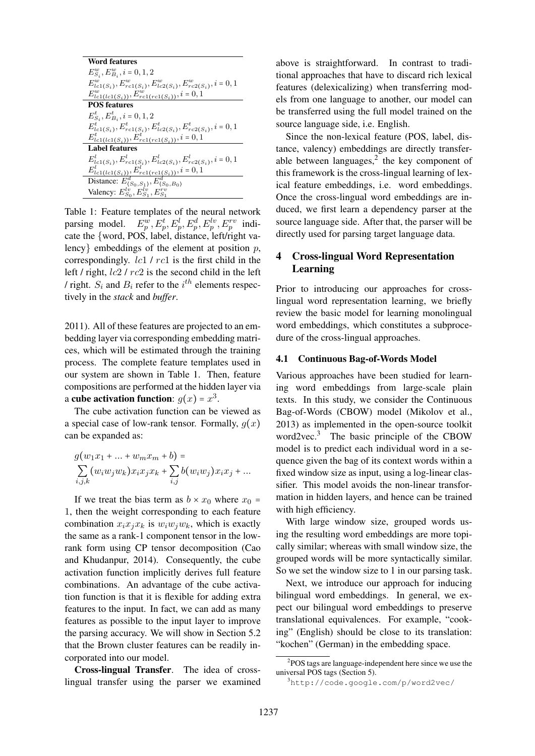| Word features                                                              |
|----------------------------------------------------------------------------|
| $E_{S_i}^w, E_{B_i}^w, i = 0, 1, 2$                                        |
| $E_{lc1(S_i)}^w, E_{rc1(S_i)}^w, E_{lc2(S_i)}^w, E_{rc2(S_i)}^w, i = 0, 1$ |
| $E_{lc1(lc1(S_i))}^w, E_{rc1(rc1(S_i))}^w, i = 0, 1$                       |
| <b>POS features</b>                                                        |
| $E_{S_i}^t, E_{B_i}^t, i = 0, 1, 2$                                        |
| $E_{lc1(S_i)}^t, E_{rc1(S_i)}^t, E_{lc2(S_i)}^t, E_{rc2(S_i)}^t, i = 0, 1$ |
| $E_{lc1(lcl(S_i))}^t, E_{rc1(rc1(S_i))}^t, i = 0, 1$                       |
| <b>Label features</b>                                                      |
| $E_{lc1(S_i)}^l, E_{rc1(S_i)}^l, E_{lc2(S_i)}^l, E_{rc2(S_i)}^l, i = 0, 1$ |
| $E_{lc1(lc1(S_i))}^l, E_{rc1(rc1(S_i))}^l, i = 0, 1$                       |
| Distance: $E_{(S_0,S_1)}^d, E_{(S_0,B_0)}^d$                               |
| Valency: $E_{S_0}^{lv}, E_{S_1}^{lv}, E_{S_1}^{rv}$                        |

Table 1: Feature templates of the neural network parsing model.  $E_p^w, E_p^t, E_p^l, E_p^d, E_p^{lv}, E_p^{rv}$  indicate the {word, POS, label, distance, left/right valency embeddings of the element at position  $p$ , correspondingly. lc1 / rc1 is the first child in the left / right,  $lc2$  /  $rc2$  is the second child in the left / right.  $S_i$  and  $B_i$  refer to the  $i^{th}$  elements respectively in the *stack* and *buffer*.

2011). All of these features are projected to an embedding layer via corresponding embedding matrices, which will be estimated through the training process. The complete feature templates used in our system are shown in Table 1. Then, feature compositions are performed at the hidden layer via a cube activation function:  $g(x) = x^3$ .

The cube activation function can be viewed as a special case of low-rank tensor. Formally,  $g(x)$ can be expanded as:

$$
g(w_1x_1 + ... + w_mx_m + b) =
$$
  
\n
$$
\sum_{i,j,k} (w_iw_jw_k)x_ix_jx_k + \sum_{i,j} b(w_iw_j)x_ix_j + ...
$$

If we treat the bias term as  $b \times x_0$  where  $x_0$  = 1, then the weight corresponding to each feature combination  $x_i x_j x_k$  is  $w_i w_j w_k$ , which is exactly the same as a rank-1 component tensor in the lowrank form using CP tensor decomposition (Cao and Khudanpur, 2014). Consequently, the cube activation function implicitly derives full feature combinations. An advantage of the cube activation function is that it is flexible for adding extra features to the input. In fact, we can add as many features as possible to the input layer to improve the parsing accuracy. We will show in Section 5.2 that the Brown cluster features can be readily incorporated into our model.

Cross-lingual Transfer. The idea of crosslingual transfer using the parser we examined above is straightforward. In contrast to traditional approaches that have to discard rich lexical features (delexicalizing) when transferring models from one language to another, our model can be transferred using the full model trained on the source language side, i.e. English.

Since the non-lexical feature (POS, label, distance, valency) embeddings are directly transferable between languages, $2$  the key component of this framework is the cross-lingual learning of lexical feature embeddings, i.e. word embeddings. Once the cross-lingual word embeddings are induced, we first learn a dependency parser at the source language side. After that, the parser will be directly used for parsing target language data.

# 4 Cross-lingual Word Representation Learning

Prior to introducing our approaches for crosslingual word representation learning, we briefly review the basic model for learning monolingual word embeddings, which constitutes a subprocedure of the cross-lingual approaches.

#### 4.1 Continuous Bag-of-Words Model

Various approaches have been studied for learning word embeddings from large-scale plain texts. In this study, we consider the Continuous Bag-of-Words (CBOW) model (Mikolov et al., 2013) as implemented in the open-source toolkit word2vec.<sup>3</sup> The basic principle of the CBOW model is to predict each individual word in a sequence given the bag of its context words within a fixed window size as input, using a log-linear classifier. This model avoids the non-linear transformation in hidden layers, and hence can be trained with high efficiency.

With large window size, grouped words using the resulting word embeddings are more topically similar; whereas with small window size, the grouped words will be more syntactically similar. So we set the window size to 1 in our parsing task.

Next, we introduce our approach for inducing bilingual word embeddings. In general, we expect our bilingual word embeddings to preserve translational equivalences. For example, "cooking" (English) should be close to its translation: "kochen" (German) in the embedding space.

<sup>2</sup> POS tags are language-independent here since we use the universal POS tags (Section 5).

<sup>3</sup>http://code.google.com/p/word2vec/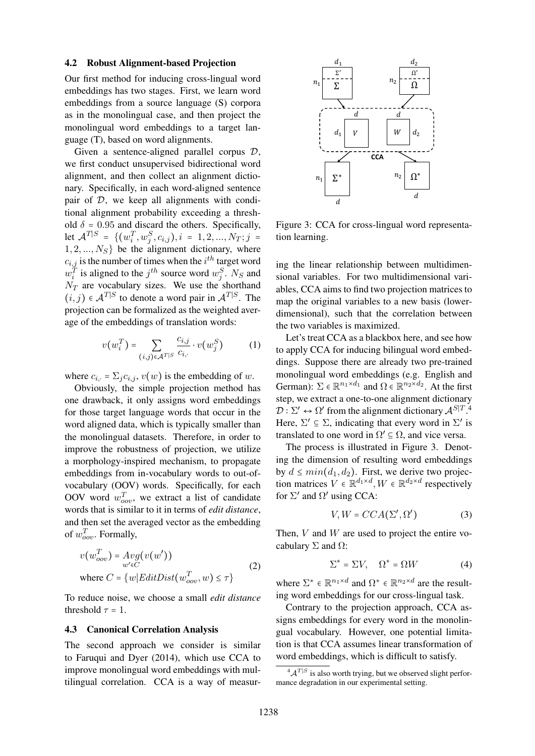#### 4.2 Robust Alignment-based Projection

Our first method for inducing cross-lingual word embeddings has two stages. First, we learn word embeddings from a source language (S) corpora as in the monolingual case, and then project the monolingual word embeddings to a target language (T), based on word alignments.

Given a sentence-aligned parallel corpus  $D$ , we first conduct unsupervised bidirectional word alignment, and then collect an alignment dictionary. Specifically, in each word-aligned sentence pair of  $D$ , we keep all alignments with conditional alignment probability exceeding a threshold  $\delta = 0.95$  and discard the others. Specifically, let  $\mathcal{A}^{T|S} = \{ (w_i^T, w_j^S, c_{i,j}), i = 1, 2, ..., N_T; j = 1, 2, ..., N_T \}$  $1, 2, ..., N<sub>S</sub>$  be the alignment dictionary, where  $c_{i,j}$  is the number of times when the  $i^{th}$  target word  $w_i^T$  is aligned to the  $j^{th}$  source word  $w_j^S$ . N<sub>S</sub> and  $N_T$  are vocabulary sizes. We use the shorthand  $(i, j) \in \mathcal{A}^{T|S}$  to denote a word pair in  $\mathcal{A}^{T|S}$ . The projection can be formalized as the weighted average of the embeddings of translation words:

$$
v(w_i^T) = \sum_{(i,j)\in \mathcal{A}^T|S} \frac{c_{i,j}}{c_{i,\cdot}} \cdot v(w_j^S)
$$
 (1)

where  $c_{i,:} = \sum_j c_{i,j}, v(w)$  is the embedding of w.

Obviously, the simple projection method has one drawback, it only assigns word embeddings for those target language words that occur in the word aligned data, which is typically smaller than the monolingual datasets. Therefore, in order to improve the robustness of projection, we utilize a morphology-inspired mechanism, to propagate embeddings from in-vocabulary words to out-ofvocabulary (OOV) words. Specifically, for each OOV word  $w_{oov}^T$ , we extract a list of candidate words that is similar to it in terms of *edit distance*, and then set the averaged vector as the embedding of  $w_{oov}^T$ . Formally,

$$
v(w_{oov}^T) = Avg(v(w'))
$$
  
where  $C = \{w|EditDist(w_{oov}^T, w) \le \tau\}$  (2)

To reduce noise, we choose a small *edit distance* threshold  $\tau = 1$ .

#### 4.3 Canonical Correlation Analysis

The second approach we consider is similar to Faruqui and Dyer (2014), which use CCA to improve monolingual word embeddings with multilingual correlation. CCA is a way of measur-



Figure 3: CCA for cross-lingual word representation learning.

ing the linear relationship between multidimensional variables. For two multidimensional variables, CCA aims to find two projection matrices to map the original variables to a new basis (lowerdimensional), such that the correlation between the two variables is maximized.

Let's treat CCA as a blackbox here, and see how to apply CCA for inducing bilingual word embeddings. Suppose there are already two pre-trained monolingual word embeddings (e.g. English and German):  $\Sigma \in \mathbb{R}^{n_1 \times d_1}$  and  $\Omega \in \mathbb{R}^{n_2 \times d_2}$ . At the first step, we extract a one-to-one alignment dictionary  $\mathcal{D}: \Sigma' \leftrightarrow \Omega'$  from the alignment dictionary  $\mathcal{A}^{S|T}$ .<sup>4</sup> Here,  $\Sigma' \subseteq \Sigma$ , indicating that every word in  $\Sigma'$  is translated to one word in  $\Omega' \subseteq \Omega$ , and vice versa.

The process is illustrated in Figure 3. Denoting the dimension of resulting word embeddings by  $d \leq min(d_1, d_2)$ . First, we derive two projection matrices  $V \in \mathbb{R}^{d_1 \times d}$ ,  $W \in \mathbb{R}^{d_2 \times d}$  respectively for  $\Sigma'$  and  $\Omega'$  using CCA:

$$
V, W = CCA(\Sigma', \Omega')
$$
 (3)

Then,  $V$  and  $W$  are used to project the entire vocabulary  $\Sigma$  and  $\Omega$ :

$$
\Sigma^* = \Sigma V, \quad \Omega^* = \Omega W \tag{4}
$$

where  $\Sigma^* \in \mathbb{R}^{n_1 \times d}$  and  $\Omega^* \in \mathbb{R}^{n_2 \times d}$  are the resulting word embeddings for our cross-lingual task.

Contrary to the projection approach, CCA assigns embeddings for every word in the monolingual vocabulary. However, one potential limitation is that CCA assumes linear transformation of word embeddings, which is difficult to satisfy.

 ${}^4\mathcal{A}^{T|S}$  is also worth trying, but we observed slight perfor-A is also worth trying, but we observed<br>mance degradation in our experimental setting.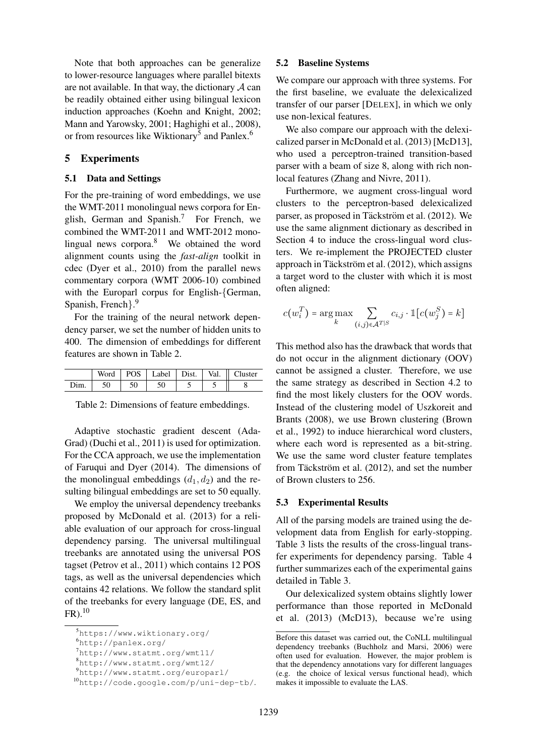Note that both approaches can be generalize to lower-resource languages where parallel bitexts are not available. In that way, the dictionary  $\mathcal A$  can be readily obtained either using bilingual lexicon induction approaches (Koehn and Knight, 2002; Mann and Yarowsky, 2001; Haghighi et al., 2008), or from resources like Wiktionary<sup>5</sup> and Panlex.<sup>6</sup>

### 5 Experiments

### 5.1 Data and Settings

For the pre-training of word embeddings, we use the WMT-2011 monolingual news corpora for English, German and Spanish.<sup>7</sup> For French, we combined the WMT-2011 and WMT-2012 monolingual news corpora.<sup>8</sup> We obtained the word alignment counts using the *fast-align* toolkit in cdec (Dyer et al., 2010) from the parallel news commentary corpora (WMT 2006-10) combined with the Europarl corpus for English-{German, Spanish, French}. 9

For the training of the neural network dependency parser, we set the number of hidden units to 400. The dimension of embeddings for different features are shown in Table 2.

|  | POS   Label   Dist.   Val. |  | Cluster |
|--|----------------------------|--|---------|
|  |                            |  |         |

Table 2: Dimensions of feature embeddings.

Adaptive stochastic gradient descent (Ada-Grad) (Duchi et al., 2011) is used for optimization. For the CCA approach, we use the implementation of Faruqui and Dyer (2014). The dimensions of the monolingual embeddings  $(d_1, d_2)$  and the resulting bilingual embeddings are set to 50 equally.

We employ the universal dependency treebanks proposed by McDonald et al. (2013) for a reliable evaluation of our approach for cross-lingual dependency parsing. The universal multilingual treebanks are annotated using the universal POS tagset (Petrov et al., 2011) which contains 12 POS tags, as well as the universal dependencies which contains 42 relations. We follow the standard split of the treebanks for every language (DE, ES, and  $FR$ ).<sup>10</sup>

#### 5.2 Baseline Systems

We compare our approach with three systems. For the first baseline, we evaluate the delexicalized transfer of our parser [DELEX], in which we only use non-lexical features.

We also compare our approach with the delexicalized parser in McDonald et al. (2013) [McD13], who used a perceptron-trained transition-based parser with a beam of size 8, along with rich nonlocal features (Zhang and Nivre, 2011).

Furthermore, we augment cross-lingual word clusters to the perceptron-based delexicalized parser, as proposed in Täckström et al. (2012). We use the same alignment dictionary as described in Section 4 to induce the cross-lingual word clusters. We re-implement the PROJECTED cluster approach in Täckström et al.  $(2012)$ , which assigns a target word to the cluster with which it is most often aligned:

$$
c(w_i^T) = \arg\max_{k} \sum_{(i,j)\in\mathcal{A}^{T|S}} c_{i,j} \cdot \mathbb{1}[c(w_j^S) = k]
$$

This method also has the drawback that words that do not occur in the alignment dictionary (OOV) cannot be assigned a cluster. Therefore, we use the same strategy as described in Section 4.2 to find the most likely clusters for the OOV words. Instead of the clustering model of Uszkoreit and Brants (2008), we use Brown clustering (Brown et al., 1992) to induce hierarchical word clusters, where each word is represented as a bit-string. We use the same word cluster feature templates from Täckström et al.  $(2012)$ , and set the number of Brown clusters to 256.

#### 5.3 Experimental Results

All of the parsing models are trained using the development data from English for early-stopping. Table 3 lists the results of the cross-lingual transfer experiments for dependency parsing. Table 4 further summarizes each of the experimental gains detailed in Table 3.

Our delexicalized system obtains slightly lower performance than those reported in McDonald et al. (2013) (McD13), because we're using

<sup>5</sup>https://www.wiktionary.org/

<sup>6</sup>http://panlex.org/

<sup>7</sup>http://www.statmt.org/wmt11/

<sup>8</sup>http://www.statmt.org/wmt12/

<sup>9</sup>http://www.statmt.org/europarl/

<sup>10</sup>http://code.google.com/p/uni-dep-tb/.

Before this dataset was carried out, the CoNLL multilingual dependency treebanks (Buchholz and Marsi, 2006) were often used for evaluation. However, the major problem is that the dependency annotations vary for different languages (e.g. the choice of lexical versus functional head), which makes it impossible to evaluate the LAS.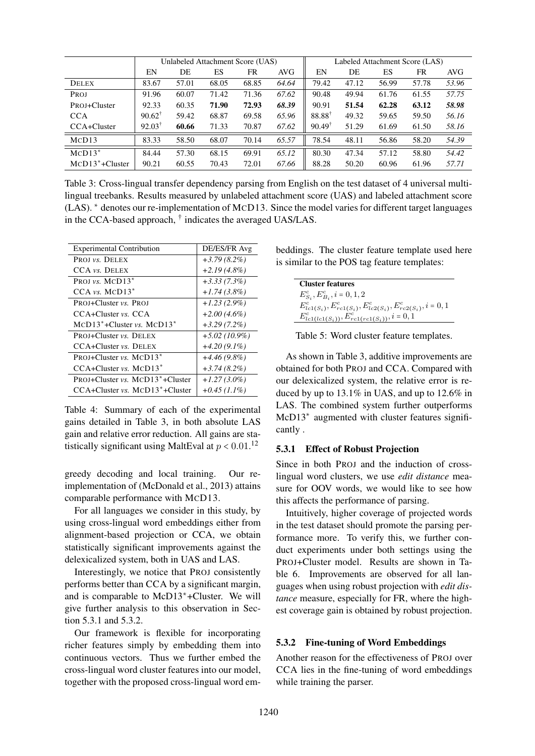|                     | Unlabeled Attachment Score (UAS) |       |       |       | Labeled Attachment Score (LAS) |                   |       |       |       |       |
|---------------------|----------------------------------|-------|-------|-------|--------------------------------|-------------------|-------|-------|-------|-------|
|                     | EN                               | DE    | ES    | FR    | AVG                            | EN                | DE    | ES    | FR    | AVG   |
| <b>DELEX</b>        | 83.67                            | 57.01 | 68.05 | 68.85 | 64.64                          | 79.42             | 47.12 | 56.99 | 57.78 | 53.96 |
| PROJ                | 91.96                            | 60.07 | 71.42 | 71.36 | 67.62                          | 90.48             | 49.94 | 61.76 | 61.55 | 57.75 |
| PROJ+Cluster        | 92.33                            | 60.35 | 71.90 | 72.93 | 68.39                          | 90.91             | 51.54 | 62.28 | 63.12 | 58.98 |
| <b>CCA</b>          | $90.62^{\dagger}$                | 59.42 | 68.87 | 69.58 | 65.96                          | 88.88             | 49.32 | 59.65 | 59.50 | 56.16 |
| CCA+Cluster         | $92.03^{\dagger}$                | 60.66 | 71.33 | 70.87 | 67.62                          | $90.49^{\dagger}$ | 51.29 | 61.69 | 61.50 | 58.16 |
| MCD13               | 83.33                            | 58.50 | 68.07 | 70.14 | 65.57                          | 78.54             | 48.11 | 56.86 | 58.20 | 54.39 |
| $MCD13*$            | 84.44                            | 57.30 | 68.15 | 69.91 | 65.12                          | 80.30             | 47.34 | 57.12 | 58.80 | 54.42 |
| $MCD13^* + Cluster$ | 90.21                            | 60.55 | 70.43 | 72.01 | 67.66                          | 88.28             | 50.20 | 60.96 | 61.96 | 57.71 |

Table 3: Cross-lingual transfer dependency parsing from English on the test dataset of 4 universal multilingual treebanks. Results measured by unlabeled attachment score (UAS) and labeled attachment score (LAS). ∗ denotes our re-implementation of MCD13. Since the model varies for different target languages in the CCA-based approach, † indicates the averaged UAS/LAS.

| <b>Experimental Contribution</b>             | DE/ES/FR Avg    |
|----------------------------------------------|-----------------|
| PROJ <i>vs.</i> DELEX                        | $+3.79(8.2\%)$  |
| CCA vs. DELEX                                | $+2.19(4.8\%)$  |
| PROJ vs. $MCD13*$                            | $+3.33(7.3\%)$  |
| $CCA vs. MCD13*$                             | $+1.74(3.8\%)$  |
| <b>PROJ+Cluster vs. PROJ</b>                 | $+1.23(2.9\%)$  |
| $CCA+Cluster vs. CCA$                        | $+2.00(4.6\%)$  |
| $MCD13* + Cluster vs. MCD13*$                | $+3.29(7.2\%)$  |
| <b>PROJ+Cluster vs. DELEX</b>                | $+5.02(10.9\%)$ |
| CCA+Cluster vs. DELEX                        | $+4.20(9.1\%)$  |
| PROJ+Cluster vs. $MCD13*$                    | $+4.46(9.8\%)$  |
| $CCA+Cluster vs. MCD13*$                     | $+3.74(8.2\%)$  |
| PROJ+Cluster vs. MCD13 <sup>*</sup> +Cluster | $+1.27(3.0\%)$  |
| $CCA+Cluster vs. MCD13*+Cluster$             | $+0.45$ (1.1%)  |

Table 4: Summary of each of the experimental gains detailed in Table 3, in both absolute LAS gain and relative error reduction. All gains are statistically significant using MaltEval at  $p < 0.01$ .<sup>12</sup>

greedy decoding and local training. Our reimplementation of (McDonald et al., 2013) attains comparable performance with MCD13.

For all languages we consider in this study, by using cross-lingual word embeddings either from alignment-based projection or CCA, we obtain statistically significant improvements against the delexicalized system, both in UAS and LAS.

Interestingly, we notice that PROJ consistently performs better than CCA by a significant margin, and is comparable to McD13∗+Cluster. We will give further analysis to this observation in Section 5.3.1 and 5.3.2.

Our framework is flexible for incorporating richer features simply by embedding them into continuous vectors. Thus we further embed the cross-lingual word cluster features into our model, together with the proposed cross-lingual word embeddings. The cluster feature template used here is similar to the POS tag feature templates:

| <b>Cluster features</b>                                                    |
|----------------------------------------------------------------------------|
| $E_{S_i}^c, E_{B_i}^c, i = 0, 1, 2$                                        |
| $E_{lc1(S_i)}^c, E_{rc1(S_i)}^c, E_{lc2(S_i)}^c, E_{rc2(S_i)}^c, i = 0, 1$ |
| $E_{lc1(lc1(S_i))}^c, E_{rc1(rc1(S_i))}^c, i = 0, 1$                       |

Table 5: Word cluster feature templates.

As shown in Table 3, additive improvements are obtained for both PROJ and CCA. Compared with our delexicalized system, the relative error is reduced by up to 13.1% in UAS, and up to 12.6% in LAS. The combined system further outperforms McD13∗ augmented with cluster features significantly .

# 5.3.1 Effect of Robust Projection

Since in both PROJ and the induction of crosslingual word clusters, we use *edit distance* measure for OOV words, we would like to see how this affects the performance of parsing.

Intuitively, higher coverage of projected words in the test dataset should promote the parsing performance more. To verify this, we further conduct experiments under both settings using the PROJ+Cluster model. Results are shown in Table 6. Improvements are observed for all languages when using robust projection with *edit distance* measure, especially for FR, where the highest coverage gain is obtained by robust projection.

### 5.3.2 Fine-tuning of Word Embeddings

Another reason for the effectiveness of PROJ over CCA lies in the fine-tuning of word embeddings while training the parser.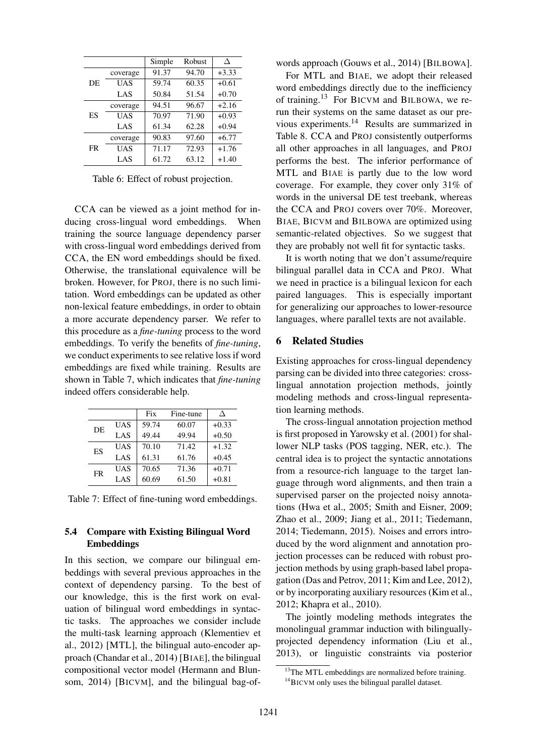|     |          | Simple | Robust | Δ       |
|-----|----------|--------|--------|---------|
| DE. | coverage | 91.37  | 94.70  | $+3.33$ |
|     | UAS      | 59.74  | 60.35  | $+0.61$ |
|     | LAS      | 50.84  | 51.54  | $+0.70$ |
| ES  | coverage | 94.51  | 96.67  | $+2.16$ |
|     | UAS      | 70.97  | 71.90  | $+0.93$ |
|     | LAS      | 61.34  | 62.28  | $+0.94$ |
| FR  | coverage | 90.83  | 97.60  | $+6.77$ |
|     | UAS      | 71.17  | 72.93  | $+1.76$ |
|     | LAS      | 61.72  | 63.12  | $+1.40$ |

Table 6: Effect of robust projection.

CCA can be viewed as a joint method for inducing cross-lingual word embeddings. When training the source language dependency parser with cross-lingual word embeddings derived from CCA, the EN word embeddings should be fixed. Otherwise, the translational equivalence will be broken. However, for PROJ, there is no such limitation. Word embeddings can be updated as other non-lexical feature embeddings, in order to obtain a more accurate dependency parser. We refer to this procedure as a *fine-tuning* process to the word embeddings. To verify the benefits of *fine-tuning*, we conduct experiments to see relative loss if word embeddings are fixed while training. Results are shown in Table 7, which indicates that *fine-tuning* indeed offers considerable help.

|    |     | Fix   | Fine-tune |         |
|----|-----|-------|-----------|---------|
| DE | UAS | 59.74 | 60.07     | $+0.33$ |
|    | LAS | 49.44 | 49.94     | $+0.50$ |
| ES | UAS | 70.10 | 71.42     | $+1.32$ |
|    | LAS | 61.31 | 61.76     | $+0.45$ |
| FR | UAS | 70.65 | 71.36     | $+0.71$ |
|    | LAS | 60.69 | 61.50     | $+0.81$ |

Table 7: Effect of fine-tuning word embeddings.

### 5.4 Compare with Existing Bilingual Word Embeddings

In this section, we compare our bilingual embeddings with several previous approaches in the context of dependency parsing. To the best of our knowledge, this is the first work on evaluation of bilingual word embeddings in syntactic tasks. The approaches we consider include the multi-task learning approach (Klementiev et al., 2012) [MTL], the bilingual auto-encoder approach (Chandar et al., 2014) [BIAE], the bilingual compositional vector model (Hermann and Blunsom, 2014) [BICVM], and the bilingual bag-ofwords approach (Gouws et al., 2014) [BILBOWA].

For MTL and BIAE, we adopt their released word embeddings directly due to the inefficiency of training.<sup>13</sup> For BICVM and BILBOWA, we rerun their systems on the same dataset as our previous experiments.<sup>14</sup> Results are summarized in Table 8. CCA and PROJ consistently outperforms all other approaches in all languages, and PROJ performs the best. The inferior performance of MTL and BIAE is partly due to the low word coverage. For example, they cover only 31% of words in the universal DE test treebank, whereas the CCA and PROJ covers over 70%. Moreover, BIAE, BICVM and BILBOWA are optimized using semantic-related objectives. So we suggest that they are probably not well fit for syntactic tasks.

It is worth noting that we don't assume/require bilingual parallel data in CCA and PROJ. What we need in practice is a bilingual lexicon for each paired languages. This is especially important for generalizing our approaches to lower-resource languages, where parallel texts are not available.

### 6 Related Studies

Existing approaches for cross-lingual dependency parsing can be divided into three categories: crosslingual annotation projection methods, jointly modeling methods and cross-lingual representation learning methods.

The cross-lingual annotation projection method is first proposed in Yarowsky et al. (2001) for shallower NLP tasks (POS tagging, NER, etc.). The central idea is to project the syntactic annotations from a resource-rich language to the target language through word alignments, and then train a supervised parser on the projected noisy annotations (Hwa et al., 2005; Smith and Eisner, 2009; Zhao et al., 2009; Jiang et al., 2011; Tiedemann, 2014; Tiedemann, 2015). Noises and errors introduced by the word alignment and annotation projection processes can be reduced with robust projection methods by using graph-based label propagation (Das and Petrov, 2011; Kim and Lee, 2012), or by incorporating auxiliary resources (Kim et al., 2012; Khapra et al., 2010).

The jointly modeling methods integrates the monolingual grammar induction with bilinguallyprojected dependency information (Liu et al., 2013), or linguistic constraints via posterior

<sup>&</sup>lt;sup>13</sup>The MTL embeddings are normalized before training.

<sup>&</sup>lt;sup>14</sup>BICVM only uses the bilingual parallel dataset.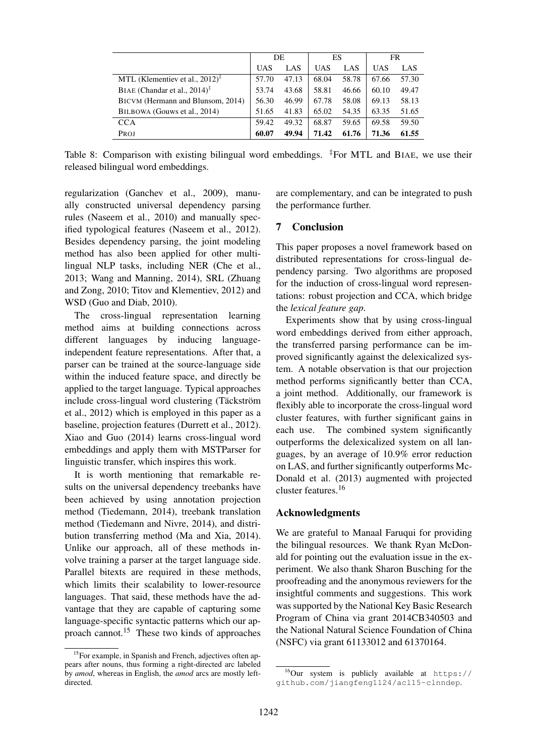|                                                                     |            | DE    | ES         |       |       | FR    |
|---------------------------------------------------------------------|------------|-------|------------|-------|-------|-------|
|                                                                     | <b>UAS</b> | LAS   | <b>UAS</b> | LAS   | UAS   | LAS.  |
| MTL (Klementiev et al., $2012$ ) <sup><math>\pm</math></sup>        | 57.70      | 47.13 | 68.04      | 58.78 | 67.66 | 57.30 |
| BIAE (Chandar et al., $2014$ ) <sup><math>\overline{ }</math></sup> | 53.74      | 43.68 | 58.81      | 46.66 | 60.10 | 49.47 |
| BICVM (Hermann and Blunsom, 2014)                                   | 56.30      | 46.99 | 67.78      | 58.08 | 69.13 | 58.13 |
| BILBOWA (Gouws et al., 2014)                                        | 51.65      | 41.83 | 65.02      | 54.35 | 63.35 | 51.65 |
| <b>CCA</b>                                                          | 59.42      | 49.32 | 68.87      | 59.65 | 69.58 | 59.50 |
| PROJ                                                                | 60.07      | 49.94 | 71.42      | 61.76 | 71.36 | 61.55 |

Table 8: Comparison with existing bilingual word embeddings. <sup>‡</sup>For MTL and BIAE, we use their released bilingual word embeddings.

regularization (Ganchev et al., 2009), manually constructed universal dependency parsing rules (Naseem et al., 2010) and manually specified typological features (Naseem et al., 2012). Besides dependency parsing, the joint modeling method has also been applied for other multilingual NLP tasks, including NER (Che et al., 2013; Wang and Manning, 2014), SRL (Zhuang and Zong, 2010; Titov and Klementiev, 2012) and WSD (Guo and Diab, 2010).

The cross-lingual representation learning method aims at building connections across different languages by inducing languageindependent feature representations. After that, a parser can be trained at the source-language side within the induced feature space, and directly be applied to the target language. Typical approaches include cross-lingual word clustering (Täckström et al., 2012) which is employed in this paper as a baseline, projection features (Durrett et al., 2012). Xiao and Guo (2014) learns cross-lingual word embeddings and apply them with MSTParser for linguistic transfer, which inspires this work.

It is worth mentioning that remarkable results on the universal dependency treebanks have been achieved by using annotation projection method (Tiedemann, 2014), treebank translation method (Tiedemann and Nivre, 2014), and distribution transferring method (Ma and Xia, 2014). Unlike our approach, all of these methods involve training a parser at the target language side. Parallel bitexts are required in these methods, which limits their scalability to lower-resource languages. That said, these methods have the advantage that they are capable of capturing some language-specific syntactic patterns which our approach cannot.<sup>15</sup> These two kinds of approaches

are complementary, and can be integrated to push the performance further.

# 7 Conclusion

This paper proposes a novel framework based on distributed representations for cross-lingual dependency parsing. Two algorithms are proposed for the induction of cross-lingual word representations: robust projection and CCA, which bridge the *lexical feature gap*.

Experiments show that by using cross-lingual word embeddings derived from either approach, the transferred parsing performance can be improved significantly against the delexicalized system. A notable observation is that our projection method performs significantly better than CCA, a joint method. Additionally, our framework is flexibly able to incorporate the cross-lingual word cluster features, with further significant gains in each use. The combined system significantly outperforms the delexicalized system on all languages, by an average of 10.9% error reduction on LAS, and further significantly outperforms Mc-Donald et al. (2013) augmented with projected cluster features.<sup>16</sup>

### Acknowledgments

We are grateful to Manaal Faruqui for providing the bilingual resources. We thank Ryan McDonald for pointing out the evaluation issue in the experiment. We also thank Sharon Busching for the proofreading and the anonymous reviewers for the insightful comments and suggestions. This work was supported by the National Key Basic Research Program of China via grant 2014CB340503 and the National Natural Science Foundation of China (NSFC) via grant 61133012 and 61370164.

<sup>&</sup>lt;sup>15</sup>For example, in Spanish and French, adjectives often appears after nouns, thus forming a right-directed arc labeled by *amod*, whereas in English, the *amod* arcs are mostly leftdirected.

 $^{16}$ Our system is publicly available at https:// github.com/jiangfeng1124/acl15-clnndep.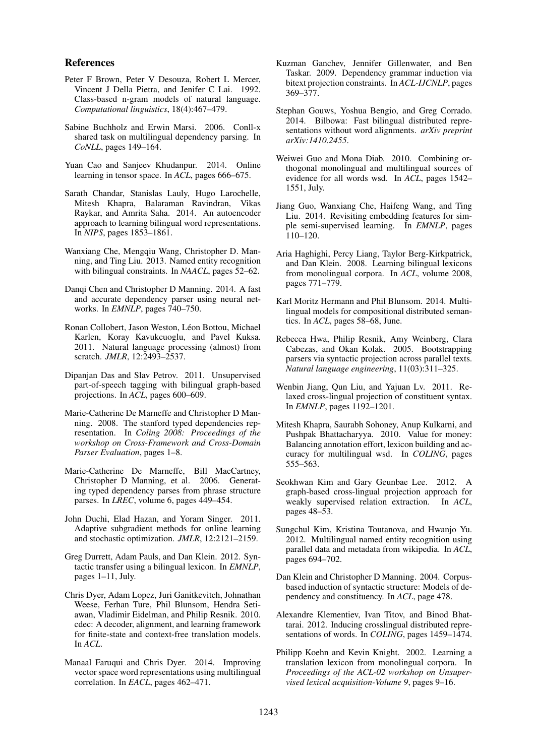#### References

- Peter F Brown, Peter V Desouza, Robert L Mercer, Vincent J Della Pietra, and Jenifer C Lai. 1992. Class-based n-gram models of natural language. *Computational linguistics*, 18(4):467–479.
- Sabine Buchholz and Erwin Marsi. 2006. Conll-x shared task on multilingual dependency parsing. In *CoNLL*, pages 149–164.
- Yuan Cao and Sanjeev Khudanpur. 2014. Online learning in tensor space. In *ACL*, pages 666–675.
- Sarath Chandar, Stanislas Lauly, Hugo Larochelle, Mitesh Khapra, Balaraman Ravindran, Vikas Raykar, and Amrita Saha. 2014. An autoencoder approach to learning bilingual word representations. In *NIPS*, pages 1853–1861.
- Wanxiang Che, Mengqiu Wang, Christopher D. Manning, and Ting Liu. 2013. Named entity recognition with bilingual constraints. In *NAACL*, pages 52–62.
- Danqi Chen and Christopher D Manning. 2014. A fast and accurate dependency parser using neural networks. In *EMNLP*, pages 740–750.
- Ronan Collobert, Jason Weston, Léon Bottou, Michael Karlen, Koray Kavukcuoglu, and Pavel Kuksa. 2011. Natural language processing (almost) from scratch. *JMLR*, 12:2493–2537.
- Dipanjan Das and Slav Petrov. 2011. Unsupervised part-of-speech tagging with bilingual graph-based projections. In *ACL*, pages 600–609.
- Marie-Catherine De Marneffe and Christopher D Manning. 2008. The stanford typed dependencies representation. In *Coling 2008: Proceedings of the workshop on Cross-Framework and Cross-Domain Parser Evaluation*, pages 1–8.
- Marie-Catherine De Marneffe, Bill MacCartney, Christopher D Manning, et al. 2006. Generating typed dependency parses from phrase structure parses. In *LREC*, volume 6, pages 449–454.
- John Duchi, Elad Hazan, and Yoram Singer. 2011. Adaptive subgradient methods for online learning and stochastic optimization. *JMLR*, 12:2121–2159.
- Greg Durrett, Adam Pauls, and Dan Klein. 2012. Syntactic transfer using a bilingual lexicon. In *EMNLP*, pages 1–11, July.
- Chris Dyer, Adam Lopez, Juri Ganitkevitch, Johnathan Weese, Ferhan Ture, Phil Blunsom, Hendra Setiawan, Vladimir Eidelman, and Philip Resnik. 2010. cdec: A decoder, alignment, and learning framework for finite-state and context-free translation models. In *ACL*.
- Manaal Faruqui and Chris Dyer. 2014. Improving vector space word representations using multilingual correlation. In *EACL*, pages 462–471.
- Kuzman Ganchev, Jennifer Gillenwater, and Ben Taskar. 2009. Dependency grammar induction via bitext projection constraints. In *ACL-IJCNLP*, pages 369–377.
- Stephan Gouws, Yoshua Bengio, and Greg Corrado. 2014. Bilbowa: Fast bilingual distributed representations without word alignments. *arXiv preprint arXiv:1410.2455*.
- Weiwei Guo and Mona Diab. 2010. Combining orthogonal monolingual and multilingual sources of evidence for all words wsd. In *ACL*, pages 1542– 1551, July.
- Jiang Guo, Wanxiang Che, Haifeng Wang, and Ting Liu. 2014. Revisiting embedding features for simple semi-supervised learning. In *EMNLP*, pages  $110 - 120$ .
- Aria Haghighi, Percy Liang, Taylor Berg-Kirkpatrick, and Dan Klein. 2008. Learning bilingual lexicons from monolingual corpora. In *ACL*, volume 2008, pages 771–779.
- Karl Moritz Hermann and Phil Blunsom. 2014. Multilingual models for compositional distributed semantics. In *ACL*, pages 58–68, June.
- Rebecca Hwa, Philip Resnik, Amy Weinberg, Clara Cabezas, and Okan Kolak. 2005. Bootstrapping parsers via syntactic projection across parallel texts. *Natural language engineering*, 11(03):311–325.
- Wenbin Jiang, Qun Liu, and Yajuan Lv. 2011. Relaxed cross-lingual projection of constituent syntax. In *EMNLP*, pages 1192–1201.
- Mitesh Khapra, Saurabh Sohoney, Anup Kulkarni, and Pushpak Bhattacharyya. 2010. Value for money: Balancing annotation effort, lexicon building and accuracy for multilingual wsd. In *COLING*, pages 555–563.
- Seokhwan Kim and Gary Geunbae Lee. 2012. A graph-based cross-lingual projection approach for weakly supervised relation extraction. In *ACL*, pages 48–53.
- Sungchul Kim, Kristina Toutanova, and Hwanjo Yu. 2012. Multilingual named entity recognition using parallel data and metadata from wikipedia. In *ACL*, pages 694–702.
- Dan Klein and Christopher D Manning. 2004. Corpusbased induction of syntactic structure: Models of dependency and constituency. In *ACL*, page 478.
- Alexandre Klementiev, Ivan Titov, and Binod Bhattarai. 2012. Inducing crosslingual distributed representations of words. In *COLING*, pages 1459–1474.
- Philipp Koehn and Kevin Knight. 2002. Learning a translation lexicon from monolingual corpora. In *Proceedings of the ACL-02 workshop on Unsupervised lexical acquisition-Volume 9*, pages 9–16.